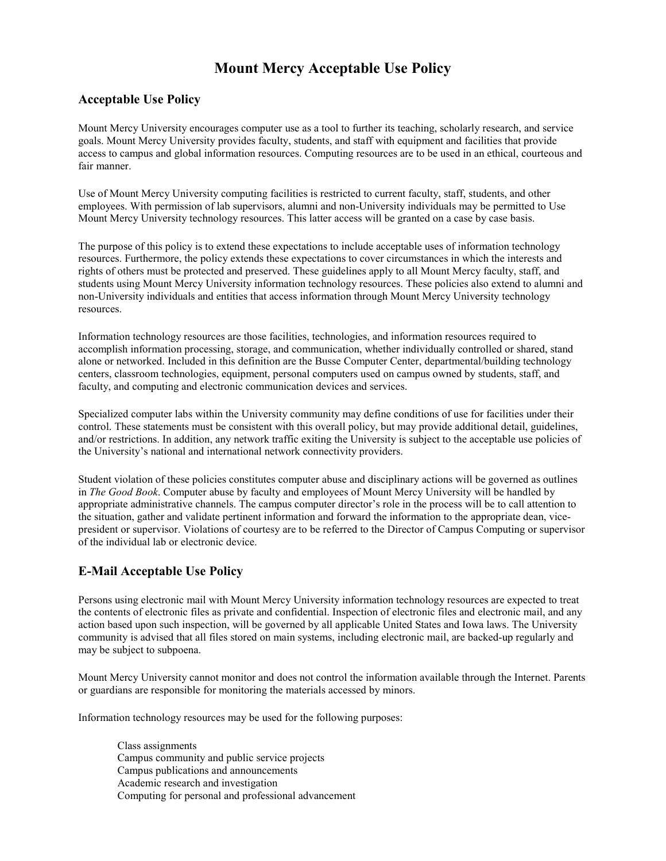## **Mount Mercy Acceptable Use Policy**

## **Acceptable Use Policy**

Mount Mercy University encourages computer use as a tool to further its teaching, scholarly research, and service goals. Mount Mercy University provides faculty, students, and staff with equipment and facilities that provide access to campus and global information resources. Computing resources are to be used in an ethical, courteous and fair manner.

Use of Mount Mercy University computing facilities is restricted to current faculty, staff, students, and other employees. With permission of lab supervisors, alumni and non-University individuals may be permitted to Use Mount Mercy University technology resources. This latter access will be granted on a case by case basis.

The purpose of this policy is to extend these expectations to include acceptable uses of information technology resources. Furthermore, the policy extends these expectations to cover circumstances in which the interests and rights of others must be protected and preserved. These guidelines apply to all Mount Mercy faculty, staff, and students using Mount Mercy University information technology resources. These policies also extend to alumni and non-University individuals and entities that access information through Mount Mercy University technology resources.

Information technology resources are those facilities, technologies, and information resources required to accomplish information processing, storage, and communication, whether individually controlled or shared, stand alone or networked. Included in this definition are the Busse Computer Center, departmental/building technology centers, classroom technologies, equipment, personal computers used on campus owned by students, staff, and faculty, and computing and electronic communication devices and services.

Specialized computer labs within the University community may define conditions of use for facilities under their control. These statements must be consistent with this overall policy, but may provide additional detail, guidelines, and/or restrictions. In addition, any network traffic exiting the University is subject to the acceptable use policies of the University's national and international network connectivity providers.

Student violation of these policies constitutes computer abuse and disciplinary actions will be governed as outlines in *The Good Book*. Computer abuse by faculty and employees of Mount Mercy University will be handled by appropriate administrative channels. The campus computer director's role in the process will be to call attention to the situation, gather and validate pertinent information and forward the information to the appropriate dean, vicepresident or supervisor. Violations of courtesy are to be referred to the Director of Campus Computing or supervisor of the individual lab or electronic device.

## **E-Mail Acceptable Use Policy**

Persons using electronic mail with Mount Mercy University information technology resources are expected to treat the contents of electronic files as private and confidential. Inspection of electronic files and electronic mail, and any action based upon such inspection, will be governed by all applicable United States and Iowa laws. The University community is advised that all files stored on main systems, including electronic mail, are backed-up regularly and may be subject to subpoena.

Mount Mercy University cannot monitor and does not control the information available through the Internet. Parents or guardians are responsible for monitoring the materials accessed by minors.

Information technology resources may be used for the following purposes:

Class assignments Campus community and public service projects Campus publications and announcements Academic research and investigation Computing for personal and professional advancement